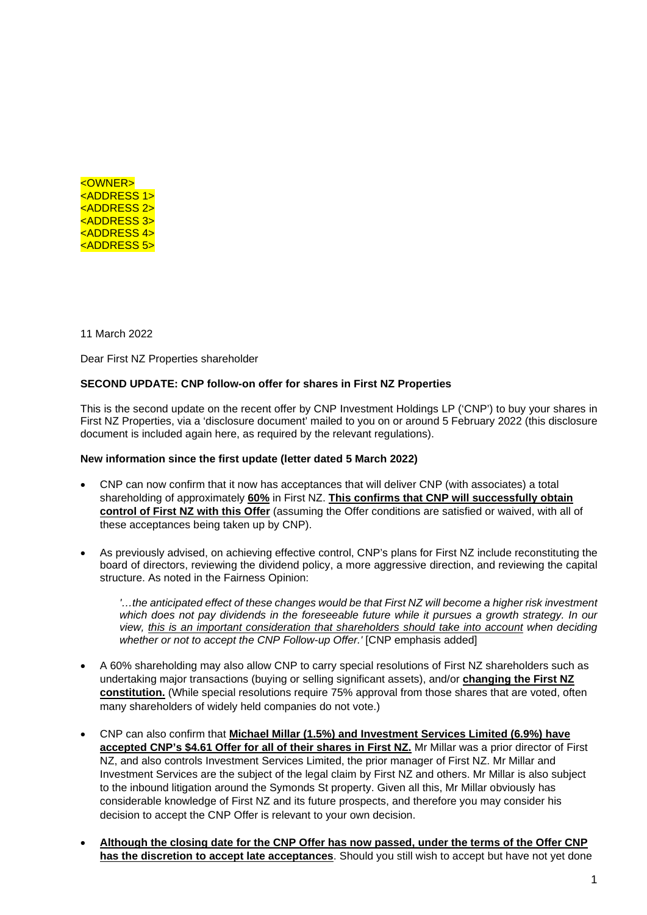

11 March 2022

Dear First NZ Properties shareholder

## **SECOND UPDATE: CNP follow-on offer for shares in First NZ Properties**

This is the second update on the recent offer by CNP Investment Holdings LP ('CNP') to buy your shares in First NZ Properties, via a 'disclosure document' mailed to you on or around 5 February 2022 (this disclosure document is included again here, as required by the relevant regulations).

## **New information since the first update (letter dated 5 March 2022)**

- CNP can now confirm that it now has acceptances that will deliver CNP (with associates) a total shareholding of approximately **60%** in First NZ. **This confirms that CNP will successfully obtain control of First NZ with this Offer** (assuming the Offer conditions are satisfied or waived, with all of these acceptances being taken up by CNP).
- As previously advised, on achieving effective control, CNP's plans for First NZ include reconstituting the board of directors, reviewing the dividend policy, a more aggressive direction, and reviewing the capital structure. As noted in the Fairness Opinion:

*'…the anticipated effect of these changes would be that First NZ will become a higher risk investment which does not pay dividends in the foreseeable future while it pursues a growth strategy. In our view, this is an important consideration that shareholders should take into account when deciding whether or not to accept the CNP Follow-up Offer.'* [CNP emphasis added]

- A 60% shareholding may also allow CNP to carry special resolutions of First NZ shareholders such as undertaking major transactions (buying or selling significant assets), and/or **changing the First NZ constitution.** (While special resolutions require 75% approval from those shares that are voted, often many shareholders of widely held companies do not vote.)
- CNP can also confirm that **Michael Millar (1.5%) and Investment Services Limited (6.9%) have accepted CNP's \$4.61 Offer for all of their shares in First NZ.** Mr Millar was a prior director of First NZ, and also controls Investment Services Limited, the prior manager of First NZ. Mr Millar and Investment Services are the subject of the legal claim by First NZ and others. Mr Millar is also subject to the inbound litigation around the Symonds St property. Given all this, Mr Millar obviously has considerable knowledge of First NZ and its future prospects, and therefore you may consider his decision to accept the CNP Offer is relevant to your own decision.
- **Although the closing date for the CNP Offer has now passed, under the terms of the Offer CNP has the discretion to accept late acceptances**. Should you still wish to accept but have not yet done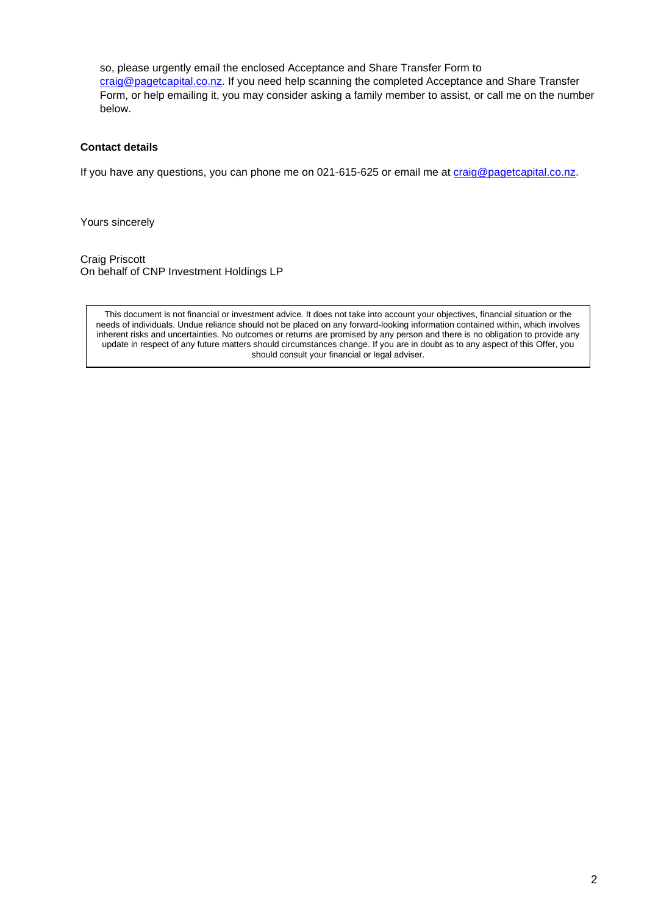so, please urgently email the enclosed Acceptance and Share Transfer Form to craig@pagetcapital.co.nz. If you need help scanning the completed Acceptance and Share Transfer Form, or help emailing it, you may consider asking a family member to assist, or call me on the number below.

## **Contact details**

If you have any questions, you can phone me on 021-615-625 or email me at craig@pagetcapital.co.nz.

Yours sincerely

Craig Priscott On behalf of CNP Investment Holdings LP

This document is not financial or investment advice. It does not take into account your objectives, financial situation or the needs of individuals. Undue reliance should not be placed on any forward-looking information contained within, which involves inherent risks and uncertainties. No outcomes or returns are promised by any person and there is no obligation to provide any update in respect of any future matters should circumstances change. If you are in doubt as to any aspect of this Offer, you should consult your financial or legal adviser.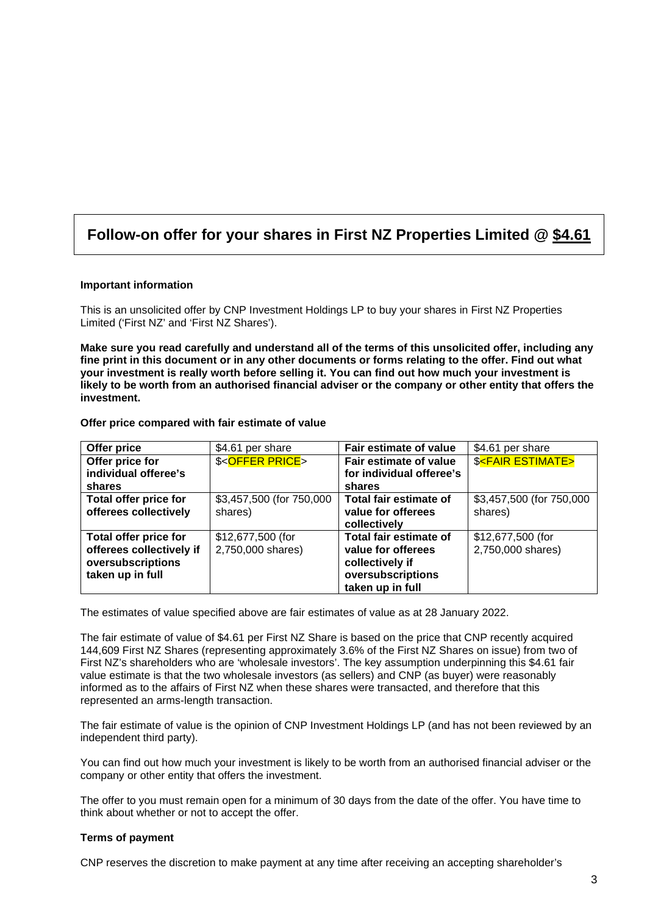# **Follow-on offer for your shares in First NZ Properties Limited @ \$4.61**

#### **Important information**

This is an unsolicited offer by CNP Investment Holdings LP to buy your shares in First NZ Properties Limited ('First NZ' and 'First NZ Shares').

**Make sure you read carefully and understand all of the terms of this unsolicited offer, including any fine print in this document or in any other documents or forms relating to the offer. Find out what your investment is really worth before selling it. You can find out how much your investment is likely to be worth from an authorised financial adviser or the company or other entity that offers the investment.** 

| Offer price                  | \$4.61 per share            | Fair estimate of value   | \$4.61 per share                   |
|------------------------------|-----------------------------|--------------------------|------------------------------------|
| Offer price for              | \$ <offer price=""></offer> | Fair estimate of value   | <b>\$<fair estimate=""></fair></b> |
| individual offeree's         |                             | for individual offeree's |                                    |
| shares                       |                             | shares                   |                                    |
| Total offer price for        | \$3,457,500 (for 750,000    | Total fair estimate of   | \$3,457,500 (for 750,000           |
| offerees collectively        | shares)                     | value for offerees       | shares)                            |
|                              |                             | collectively             |                                    |
| <b>Total offer price for</b> | \$12,677,500 (for           | Total fair estimate of   | \$12,677,500 (for                  |
| offerees collectively if     | 2,750,000 shares)           | value for offerees       | 2,750,000 shares)                  |
| oversubscriptions            |                             | collectively if          |                                    |
| taken up in full             |                             | oversubscriptions        |                                    |
|                              |                             | taken up in full         |                                    |

#### **Offer price compared with fair estimate of value**

The estimates of value specified above are fair estimates of value as at 28 January 2022.

The fair estimate of value of \$4.61 per First NZ Share is based on the price that CNP recently acquired 144,609 First NZ Shares (representing approximately 3.6% of the First NZ Shares on issue) from two of First NZ's shareholders who are 'wholesale investors'. The key assumption underpinning this \$4.61 fair value estimate is that the two wholesale investors (as sellers) and CNP (as buyer) were reasonably informed as to the affairs of First NZ when these shares were transacted, and therefore that this represented an arms-length transaction.

The fair estimate of value is the opinion of CNP Investment Holdings LP (and has not been reviewed by an independent third party).

You can find out how much your investment is likely to be worth from an authorised financial adviser or the company or other entity that offers the investment.

The offer to you must remain open for a minimum of 30 days from the date of the offer. You have time to think about whether or not to accept the offer.

## **Terms of payment**

CNP reserves the discretion to make payment at any time after receiving an accepting shareholder's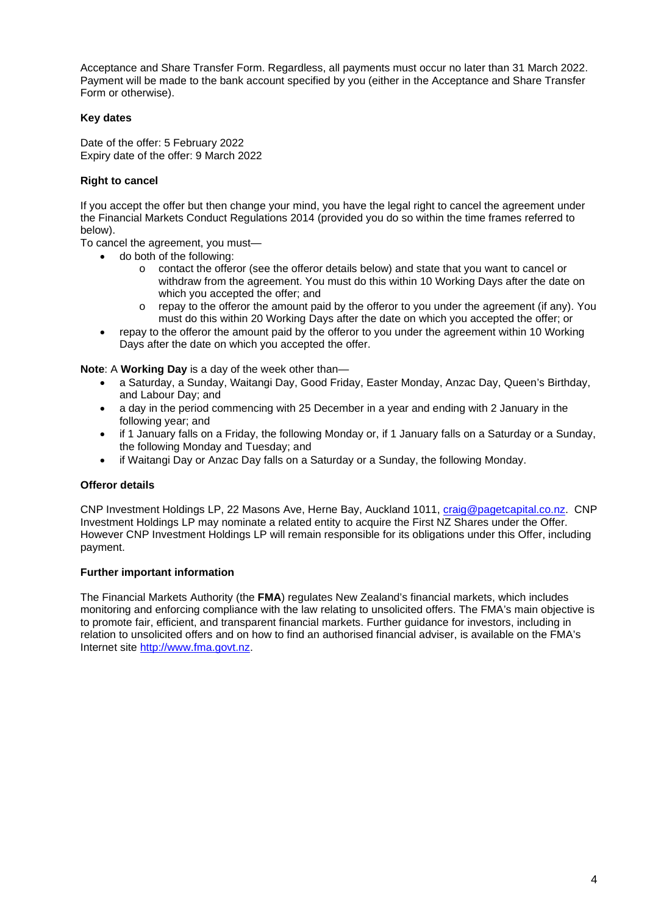Acceptance and Share Transfer Form. Regardless, all payments must occur no later than 31 March 2022. Payment will be made to the bank account specified by you (either in the Acceptance and Share Transfer Form or otherwise).

## **Key dates**

Date of the offer: 5 February 2022 Expiry date of the offer: 9 March 2022

## **Right to cancel**

If you accept the offer but then change your mind, you have the legal right to cancel the agreement under the Financial Markets Conduct Regulations 2014 (provided you do so within the time frames referred to below).

To cancel the agreement, you must—

- do both of the following:
	- o contact the offeror (see the offeror details below) and state that you want to cancel or withdraw from the agreement. You must do this within 10 Working Days after the date on which you accepted the offer; and
	- $\circ$  repay to the offeror the amount paid by the offeror to you under the agreement (if any). You must do this within 20 Working Days after the date on which you accepted the offer; or
- repay to the offeror the amount paid by the offeror to you under the agreement within 10 Working Days after the date on which you accepted the offer.

**Note**: A **Working Day** is a day of the week other than—

- a Saturday, a Sunday, Waitangi Day, Good Friday, Easter Monday, Anzac Day, Queen's Birthday, and Labour Day; and
- a day in the period commencing with 25 December in a year and ending with 2 January in the following year; and
- if 1 January falls on a Friday, the following Monday or, if 1 January falls on a Saturday or a Sunday, the following Monday and Tuesday; and
- if Waitangi Day or Anzac Day falls on a Saturday or a Sunday, the following Monday.

## **Offeror details**

CNP Investment Holdings LP, 22 Masons Ave, Herne Bay, Auckland 1011, craig@pagetcapital.co.nz. CNP Investment Holdings LP may nominate a related entity to acquire the First NZ Shares under the Offer. However CNP Investment Holdings LP will remain responsible for its obligations under this Offer, including payment.

## **Further important information**

The Financial Markets Authority (the **FMA**) regulates New Zealand's financial markets, which includes monitoring and enforcing compliance with the law relating to unsolicited offers. The FMA's main objective is to promote fair, efficient, and transparent financial markets. Further guidance for investors, including in relation to unsolicited offers and on how to find an authorised financial adviser, is available on the FMA's Internet site http://www.fma.govt.nz.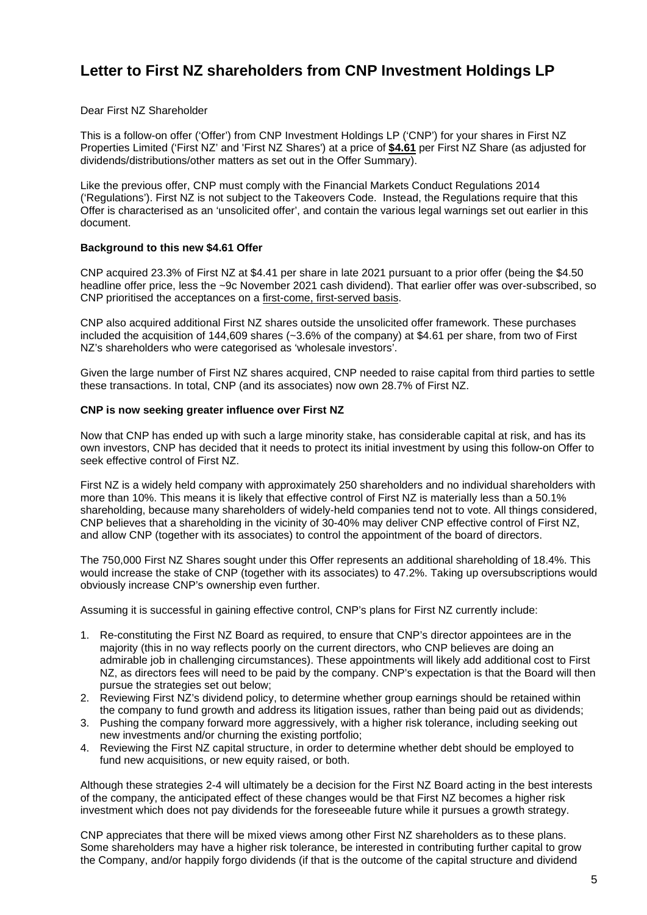# **Letter to First NZ shareholders from CNP Investment Holdings LP**

Dear First NZ Shareholder

This is a follow-on offer ('Offer') from CNP Investment Holdings LP ('CNP') for your shares in First NZ Properties Limited ('First NZ' and 'First NZ Shares') at a price of **\$4.61** per First NZ Share (as adjusted for dividends/distributions/other matters as set out in the Offer Summary).

Like the previous offer, CNP must comply with the Financial Markets Conduct Regulations 2014 ('Regulations'). First NZ is not subject to the Takeovers Code. Instead, the Regulations require that this Offer is characterised as an 'unsolicited offer', and contain the various legal warnings set out earlier in this document.

#### **Background to this new \$4.61 Offer**

CNP acquired 23.3% of First NZ at \$4.41 per share in late 2021 pursuant to a prior offer (being the \$4.50 headline offer price, less the ~9c November 2021 cash dividend). That earlier offer was over-subscribed, so CNP prioritised the acceptances on a first-come, first-served basis.

CNP also acquired additional First NZ shares outside the unsolicited offer framework. These purchases included the acquisition of 144,609 shares (~3.6% of the company) at \$4.61 per share, from two of First NZ's shareholders who were categorised as 'wholesale investors'.

Given the large number of First NZ shares acquired, CNP needed to raise capital from third parties to settle these transactions. In total, CNP (and its associates) now own 28.7% of First NZ.

#### **CNP is now seeking greater influence over First NZ**

Now that CNP has ended up with such a large minority stake, has considerable capital at risk, and has its own investors, CNP has decided that it needs to protect its initial investment by using this follow-on Offer to seek effective control of First NZ.

First NZ is a widely held company with approximately 250 shareholders and no individual shareholders with more than 10%. This means it is likely that effective control of First NZ is materially less than a 50.1% shareholding, because many shareholders of widely-held companies tend not to vote. All things considered, CNP believes that a shareholding in the vicinity of 30-40% may deliver CNP effective control of First NZ, and allow CNP (together with its associates) to control the appointment of the board of directors.

The 750,000 First NZ Shares sought under this Offer represents an additional shareholding of 18.4%. This would increase the stake of CNP (together with its associates) to 47.2%. Taking up oversubscriptions would obviously increase CNP's ownership even further.

Assuming it is successful in gaining effective control, CNP's plans for First NZ currently include:

- 1. Re-constituting the First NZ Board as required, to ensure that CNP's director appointees are in the majority (this in no way reflects poorly on the current directors, who CNP believes are doing an admirable job in challenging circumstances). These appointments will likely add additional cost to First NZ, as directors fees will need to be paid by the company. CNP's expectation is that the Board will then pursue the strategies set out below;
- 2. Reviewing First NZ's dividend policy, to determine whether group earnings should be retained within the company to fund growth and address its litigation issues, rather than being paid out as dividends;
- 3. Pushing the company forward more aggressively, with a higher risk tolerance, including seeking out new investments and/or churning the existing portfolio;
- 4. Reviewing the First NZ capital structure, in order to determine whether debt should be employed to fund new acquisitions, or new equity raised, or both.

Although these strategies 2-4 will ultimately be a decision for the First NZ Board acting in the best interests of the company, the anticipated effect of these changes would be that First NZ becomes a higher risk investment which does not pay dividends for the foreseeable future while it pursues a growth strategy.

CNP appreciates that there will be mixed views among other First NZ shareholders as to these plans. Some shareholders may have a higher risk tolerance, be interested in contributing further capital to grow the Company, and/or happily forgo dividends (if that is the outcome of the capital structure and dividend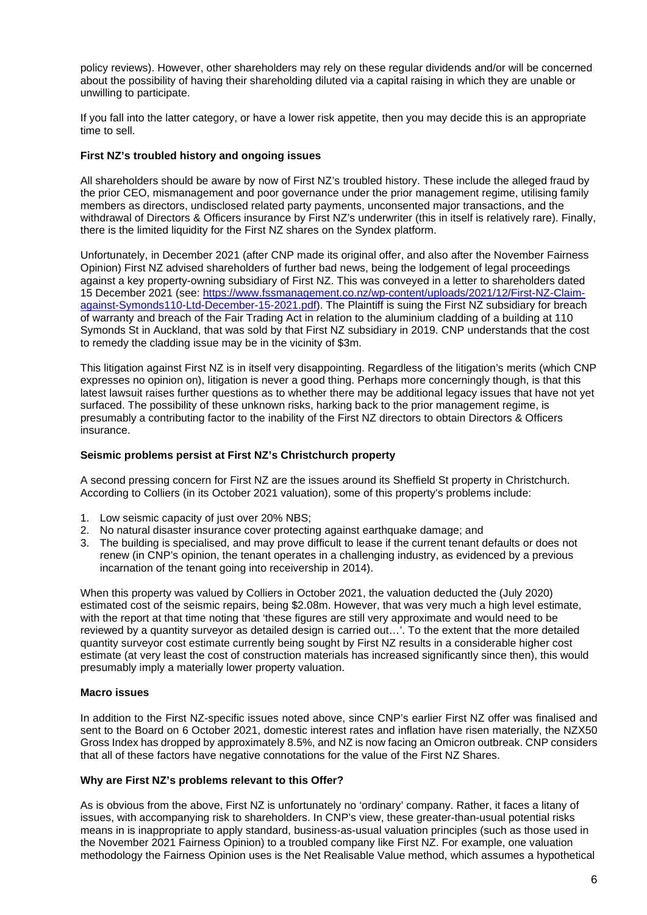policy reviews). However, other shareholders may rely on these regular dividends and/or will be concerned about the possibility of having their shareholding diluted via a capital raising in which they are unable or unwilling to participate.

If you fall into the latter category, or have a lower risk appetite, then you may decide this is an appropriate time to sell.

## **First NZ's troubled history and ongoing issues**

All shareholders should be aware by now of First NZ's troubled history. These include the alleged fraud by the prior CEO, mismanagement and poor governance under the prior management regime, utilising family members as directors, undisclosed related party payments, unconsented major transactions, and the withdrawal of Directors & Officers insurance by First NZ's underwriter (this in itself is relatively rare). Finally, there is the limited liquidity for the First NZ shares on the Syndex platform.

Unfortunately, in December 2021 (after CNP made its original offer, and also after the November Fairness Opinion) First NZ advised shareholders of further bad news, being the lodgement of legal proceedings against a key property-owning subsidiary of First NZ. This was conveyed in a letter to shareholders dated 15 December 2021 (see: https://www.fssmanagement.co.nz/wp-content/uploads/2021/12/First-NZ-Claimagainst-Symonds110-Ltd-December-15-2021.pdf). The Plaintiff is suing the First NZ subsidiary for breach of warranty and breach of the Fair Trading Act in relation to the aluminium cladding of a building at 110 Symonds St in Auckland, that was sold by that First NZ subsidiary in 2019. CNP understands that the cost to remedy the cladding issue may be in the vicinity of \$3m.

This litigation against First NZ is in itself very disappointing. Regardless of the litigation's merits (which CNP expresses no opinion on), litigation is never a good thing. Perhaps more concerningly though, is that this latest lawsuit raises further questions as to whether there may be additional legacy issues that have not yet surfaced. The possibility of these unknown risks, harking back to the prior management regime, is presumably a contributing factor to the inability of the First NZ directors to obtain Directors & Officers insurance.

#### **Seismic problems persist at First NZ's Christchurch property**

A second pressing concern for First NZ are the issues around its Sheffield St property in Christchurch. According to Colliers (in its October 2021 valuation), some of this property's problems include:

- 1. Low seismic capacity of just over 20% NBS;
- 2. No natural disaster insurance cover protecting against earthquake damage; and
- 3. The building is specialised, and may prove difficult to lease if the current tenant defaults or does not renew (in CNP's opinion, the tenant operates in a challenging industry, as evidenced by a previous incarnation of the tenant going into receivership in 2014).

When this property was valued by Colliers in October 2021, the valuation deducted the (July 2020) estimated cost of the seismic repairs, being \$2.08m. However, that was very much a high level estimate, with the report at that time noting that 'these figures are still very approximate and would need to be reviewed by a quantity surveyor as detailed design is carried out…'. To the extent that the more detailed quantity surveyor cost estimate currently being sought by First NZ results in a considerable higher cost estimate (at very least the cost of construction materials has increased significantly since then), this would presumably imply a materially lower property valuation.

## **Macro issues**

In addition to the First NZ-specific issues noted above, since CNP's earlier First NZ offer was finalised and sent to the Board on 6 October 2021, domestic interest rates and inflation have risen materially, the NZX50 Gross Index has dropped by approximately 8.5%, and NZ is now facing an Omicron outbreak. CNP considers that all of these factors have negative connotations for the value of the First NZ Shares.

#### **Why are First NZ's problems relevant to this Offer?**

As is obvious from the above, First NZ is unfortunately no 'ordinary' company. Rather, it faces a litany of issues, with accompanying risk to shareholders. In CNP's view, these greater-than-usual potential risks means in is inappropriate to apply standard, business-as-usual valuation principles (such as those used in the November 2021 Fairness Opinion) to a troubled company like First NZ. For example, one valuation methodology the Fairness Opinion uses is the Net Realisable Value method, which assumes a hypothetical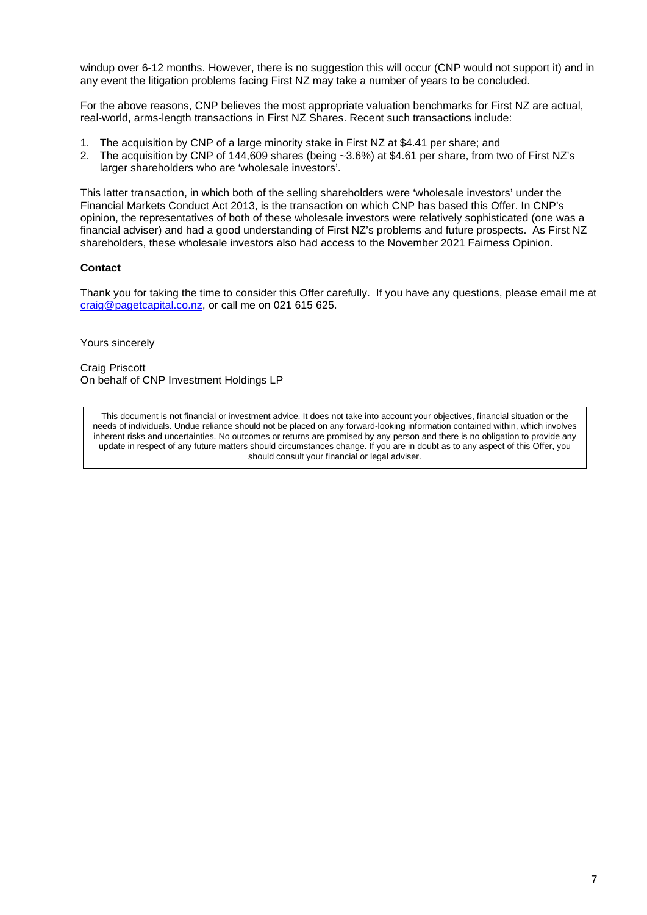windup over 6-12 months. However, there is no suggestion this will occur (CNP would not support it) and in any event the litigation problems facing First NZ may take a number of years to be concluded.

For the above reasons, CNP believes the most appropriate valuation benchmarks for First NZ are actual, real-world, arms-length transactions in First NZ Shares. Recent such transactions include:

- 1. The acquisition by CNP of a large minority stake in First NZ at \$4.41 per share; and
- 2. The acquisition by CNP of 144,609 shares (being ~3.6%) at \$4.61 per share, from two of First NZ's larger shareholders who are 'wholesale investors'.

This latter transaction, in which both of the selling shareholders were 'wholesale investors' under the Financial Markets Conduct Act 2013, is the transaction on which CNP has based this Offer. In CNP's opinion, the representatives of both of these wholesale investors were relatively sophisticated (one was a financial adviser) and had a good understanding of First NZ's problems and future prospects. As First NZ shareholders, these wholesale investors also had access to the November 2021 Fairness Opinion.

## **Contact**

Thank you for taking the time to consider this Offer carefully. If you have any questions, please email me at craig@pagetcapital.co.nz, or call me on 021 615 625.

Yours sincerely

Craig Priscott On behalf of CNP Investment Holdings LP

This document is not financial or investment advice. It does not take into account your objectives, financial situation or the needs of individuals. Undue reliance should not be placed on any forward-looking information contained within, which involves inherent risks and uncertainties. No outcomes or returns are promised by any person and there is no obligation to provide any update in respect of any future matters should circumstances change. If you are in doubt as to any aspect of this Offer, you should consult your financial or legal adviser.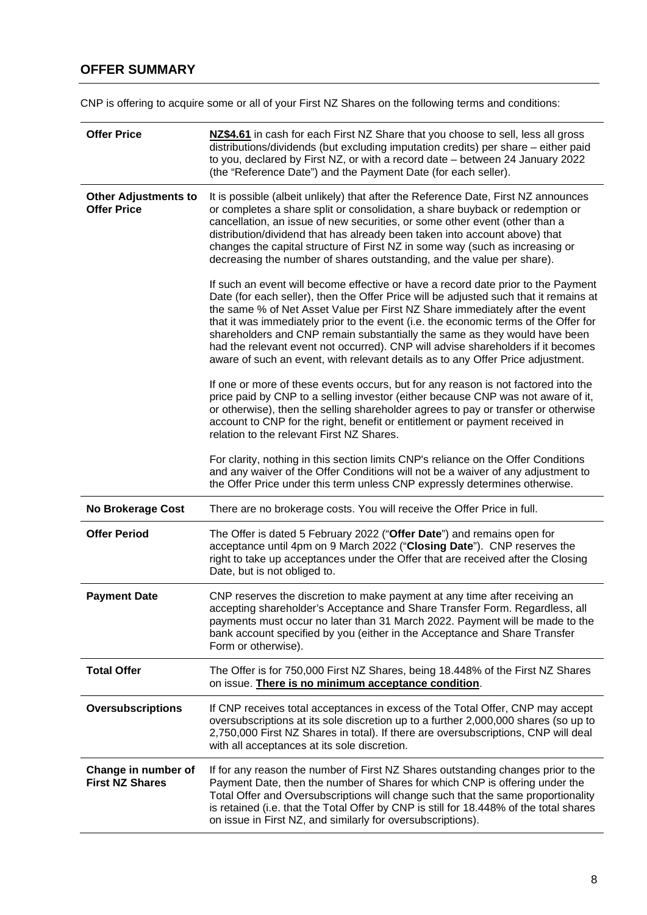## **OFFER SUMMARY**

CNP is offering to acquire some or all of your First NZ Shares on the following terms and conditions:

| <b>Offer Price</b>                                | NZ\$4.61 in cash for each First NZ Share that you choose to sell, less all gross<br>distributions/dividends (but excluding imputation credits) per share - either paid<br>to you, declared by First NZ, or with a record date - between 24 January 2022<br>(the "Reference Date") and the Payment Date (for each seller).                                                                                                                                                                                                                                                                               |  |  |  |
|---------------------------------------------------|---------------------------------------------------------------------------------------------------------------------------------------------------------------------------------------------------------------------------------------------------------------------------------------------------------------------------------------------------------------------------------------------------------------------------------------------------------------------------------------------------------------------------------------------------------------------------------------------------------|--|--|--|
| <b>Other Adjustments to</b><br><b>Offer Price</b> | It is possible (albeit unlikely) that after the Reference Date, First NZ announces<br>or completes a share split or consolidation, a share buyback or redemption or<br>cancellation, an issue of new securities, or some other event (other than a<br>distribution/dividend that has already been taken into account above) that<br>changes the capital structure of First NZ in some way (such as increasing or<br>decreasing the number of shares outstanding, and the value per share).                                                                                                              |  |  |  |
|                                                   | If such an event will become effective or have a record date prior to the Payment<br>Date (for each seller), then the Offer Price will be adjusted such that it remains at<br>the same % of Net Asset Value per First NZ Share immediately after the event<br>that it was immediately prior to the event (i.e. the economic terms of the Offer for<br>shareholders and CNP remain substantially the same as they would have been<br>had the relevant event not occurred). CNP will advise shareholders if it becomes<br>aware of such an event, with relevant details as to any Offer Price adjustment. |  |  |  |
|                                                   | If one or more of these events occurs, but for any reason is not factored into the<br>price paid by CNP to a selling investor (either because CNP was not aware of it,<br>or otherwise), then the selling shareholder agrees to pay or transfer or otherwise<br>account to CNP for the right, benefit or entitlement or payment received in<br>relation to the relevant First NZ Shares.                                                                                                                                                                                                                |  |  |  |
|                                                   | For clarity, nothing in this section limits CNP's reliance on the Offer Conditions<br>and any waiver of the Offer Conditions will not be a waiver of any adjustment to<br>the Offer Price under this term unless CNP expressly determines otherwise.                                                                                                                                                                                                                                                                                                                                                    |  |  |  |
| <b>No Brokerage Cost</b>                          | There are no brokerage costs. You will receive the Offer Price in full.                                                                                                                                                                                                                                                                                                                                                                                                                                                                                                                                 |  |  |  |
| <b>Offer Period</b>                               | The Offer is dated 5 February 2022 ("Offer Date") and remains open for<br>acceptance until 4pm on 9 March 2022 ("Closing Date"). CNP reserves the<br>right to take up acceptances under the Offer that are received after the Closing<br>Date, but is not obliged to.                                                                                                                                                                                                                                                                                                                                   |  |  |  |
| <b>Payment Date</b>                               | CNP reserves the discretion to make payment at any time after receiving an<br>accepting shareholder's Acceptance and Share Transfer Form. Regardless, all<br>payments must occur no later than 31 March 2022. Payment will be made to the<br>bank account specified by you (either in the Acceptance and Share Transfer<br>Form or otherwise).                                                                                                                                                                                                                                                          |  |  |  |
| <b>Total Offer</b>                                | The Offer is for 750,000 First NZ Shares, being 18.448% of the First NZ Shares<br>on issue. There is no minimum acceptance condition.                                                                                                                                                                                                                                                                                                                                                                                                                                                                   |  |  |  |
| <b>Oversubscriptions</b>                          | If CNP receives total acceptances in excess of the Total Offer, CNP may accept<br>oversubscriptions at its sole discretion up to a further 2,000,000 shares (so up to<br>2,750,000 First NZ Shares in total). If there are oversubscriptions, CNP will deal<br>with all acceptances at its sole discretion.                                                                                                                                                                                                                                                                                             |  |  |  |
| Change in number of<br><b>First NZ Shares</b>     | If for any reason the number of First NZ Shares outstanding changes prior to the<br>Payment Date, then the number of Shares for which CNP is offering under the<br>Total Offer and Oversubscriptions will change such that the same proportionality<br>is retained (i.e. that the Total Offer by CNP is still for 18.448% of the total shares<br>on issue in First NZ, and similarly for oversubscriptions).                                                                                                                                                                                            |  |  |  |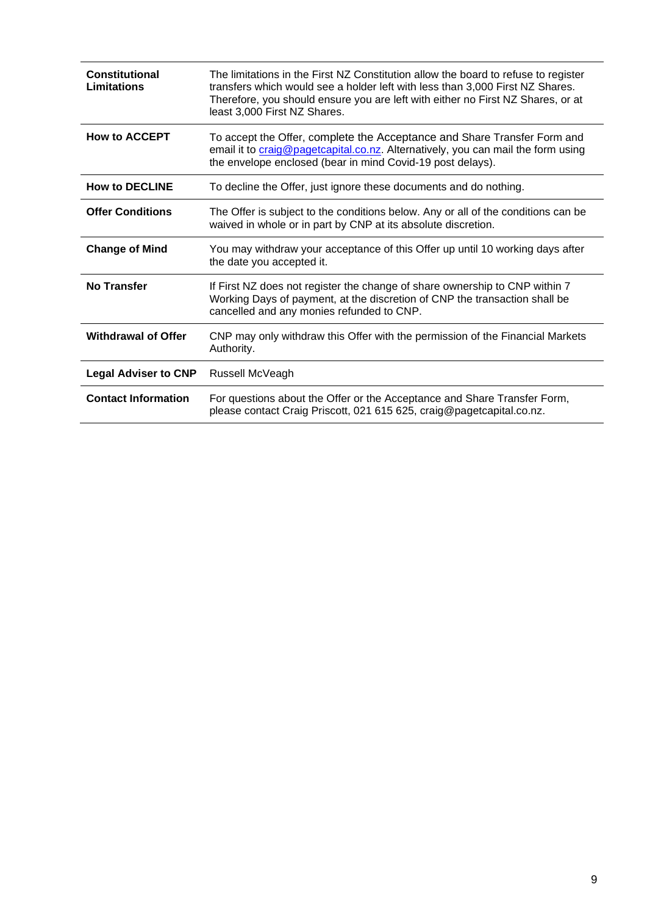| <b>Constitutional</b><br>Limitations | The limitations in the First NZ Constitution allow the board to refuse to register<br>transfers which would see a holder left with less than 3,000 First NZ Shares.<br>Therefore, you should ensure you are left with either no First NZ Shares, or at<br>least 3,000 First NZ Shares. |
|--------------------------------------|----------------------------------------------------------------------------------------------------------------------------------------------------------------------------------------------------------------------------------------------------------------------------------------|
| <b>How to ACCEPT</b>                 | To accept the Offer, complete the Acceptance and Share Transfer Form and<br>email it to craig@pagetcapital.co.nz. Alternatively, you can mail the form using<br>the envelope enclosed (bear in mind Covid-19 post delays).                                                             |
| <b>How to DECLINE</b>                | To decline the Offer, just ignore these documents and do nothing.                                                                                                                                                                                                                      |
| <b>Offer Conditions</b>              | The Offer is subject to the conditions below. Any or all of the conditions can be<br>waived in whole or in part by CNP at its absolute discretion.                                                                                                                                     |
| <b>Change of Mind</b>                | You may withdraw your acceptance of this Offer up until 10 working days after<br>the date you accepted it.                                                                                                                                                                             |
| <b>No Transfer</b>                   | If First NZ does not register the change of share ownership to CNP within 7<br>Working Days of payment, at the discretion of CNP the transaction shall be<br>cancelled and any monies refunded to CNP.                                                                                 |
| <b>Withdrawal of Offer</b>           | CNP may only withdraw this Offer with the permission of the Financial Markets<br>Authority.                                                                                                                                                                                            |
| <b>Legal Adviser to CNP</b>          | Russell McVeagh                                                                                                                                                                                                                                                                        |
| <b>Contact Information</b>           | For questions about the Offer or the Acceptance and Share Transfer Form,<br>please contact Craig Priscott, 021 615 625, craig@pagetcapital.co.nz.                                                                                                                                      |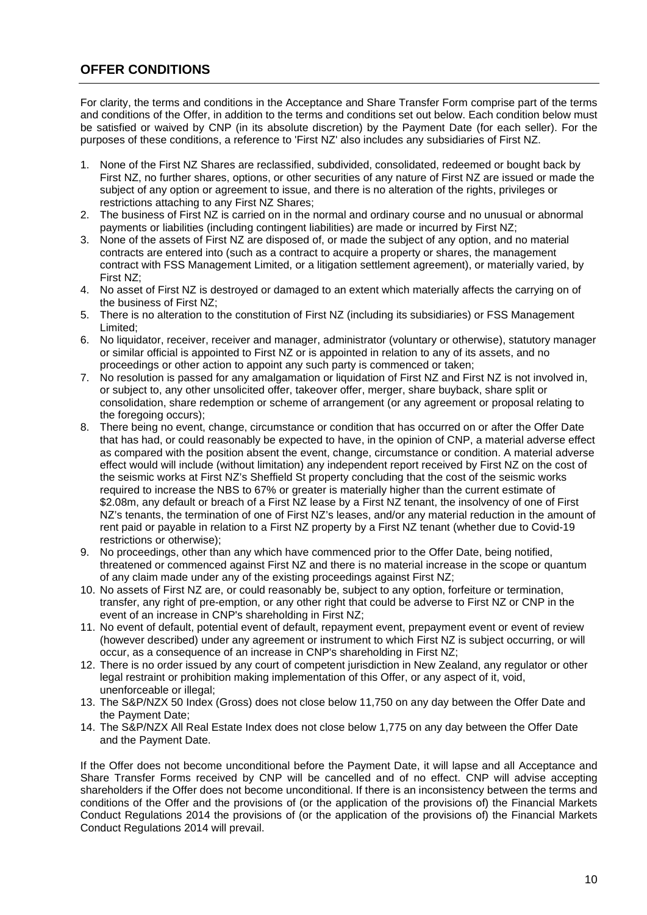## **OFFER CONDITIONS**

For clarity, the terms and conditions in the Acceptance and Share Transfer Form comprise part of the terms and conditions of the Offer, in addition to the terms and conditions set out below. Each condition below must be satisfied or waived by CNP (in its absolute discretion) by the Payment Date (for each seller). For the purposes of these conditions, a reference to 'First NZ' also includes any subsidiaries of First NZ.

- 1. None of the First NZ Shares are reclassified, subdivided, consolidated, redeemed or bought back by First NZ, no further shares, options, or other securities of any nature of First NZ are issued or made the subject of any option or agreement to issue, and there is no alteration of the rights, privileges or restrictions attaching to any First NZ Shares;
- 2. The business of First NZ is carried on in the normal and ordinary course and no unusual or abnormal payments or liabilities (including contingent liabilities) are made or incurred by First NZ;
- 3. None of the assets of First NZ are disposed of, or made the subject of any option, and no material contracts are entered into (such as a contract to acquire a property or shares, the management contract with FSS Management Limited, or a litigation settlement agreement), or materially varied, by First NZ;
- 4. No asset of First NZ is destroyed or damaged to an extent which materially affects the carrying on of the business of First NZ;
- 5. There is no alteration to the constitution of First NZ (including its subsidiaries) or FSS Management Limited;
- 6. No liquidator, receiver, receiver and manager, administrator (voluntary or otherwise), statutory manager or similar official is appointed to First NZ or is appointed in relation to any of its assets, and no proceedings or other action to appoint any such party is commenced or taken;
- 7. No resolution is passed for any amalgamation or liquidation of First NZ and First NZ is not involved in, or subject to, any other unsolicited offer, takeover offer, merger, share buyback, share split or consolidation, share redemption or scheme of arrangement (or any agreement or proposal relating to the foregoing occurs);
- 8. There being no event, change, circumstance or condition that has occurred on or after the Offer Date that has had, or could reasonably be expected to have, in the opinion of CNP, a material adverse effect as compared with the position absent the event, change, circumstance or condition. A material adverse effect would will include (without limitation) any independent report received by First NZ on the cost of the seismic works at First NZ's Sheffield St property concluding that the cost of the seismic works required to increase the NBS to 67% or greater is materially higher than the current estimate of \$2.08m, any default or breach of a First NZ lease by a First NZ tenant, the insolvency of one of First NZ's tenants, the termination of one of First NZ's leases, and/or any material reduction in the amount of rent paid or payable in relation to a First NZ property by a First NZ tenant (whether due to Covid-19 restrictions or otherwise);
- 9. No proceedings, other than any which have commenced prior to the Offer Date, being notified, threatened or commenced against First NZ and there is no material increase in the scope or quantum of any claim made under any of the existing proceedings against First NZ;
- 10. No assets of First NZ are, or could reasonably be, subject to any option, forfeiture or termination, transfer, any right of pre-emption, or any other right that could be adverse to First NZ or CNP in the event of an increase in CNP's shareholding in First NZ;
- 11. No event of default, potential event of default, repayment event, prepayment event or event of review (however described) under any agreement or instrument to which First NZ is subject occurring, or will occur, as a consequence of an increase in CNP's shareholding in First NZ;
- 12. There is no order issued by any court of competent jurisdiction in New Zealand, any regulator or other legal restraint or prohibition making implementation of this Offer, or any aspect of it, void, unenforceable or illegal;
- 13. The S&P/NZX 50 Index (Gross) does not close below 11,750 on any day between the Offer Date and the Payment Date;
- 14. The S&P/NZX All Real Estate Index does not close below 1,775 on any day between the Offer Date and the Payment Date.

If the Offer does not become unconditional before the Payment Date, it will lapse and all Acceptance and Share Transfer Forms received by CNP will be cancelled and of no effect. CNP will advise accepting shareholders if the Offer does not become unconditional. If there is an inconsistency between the terms and conditions of the Offer and the provisions of (or the application of the provisions of) the Financial Markets Conduct Regulations 2014 the provisions of (or the application of the provisions of) the Financial Markets Conduct Regulations 2014 will prevail.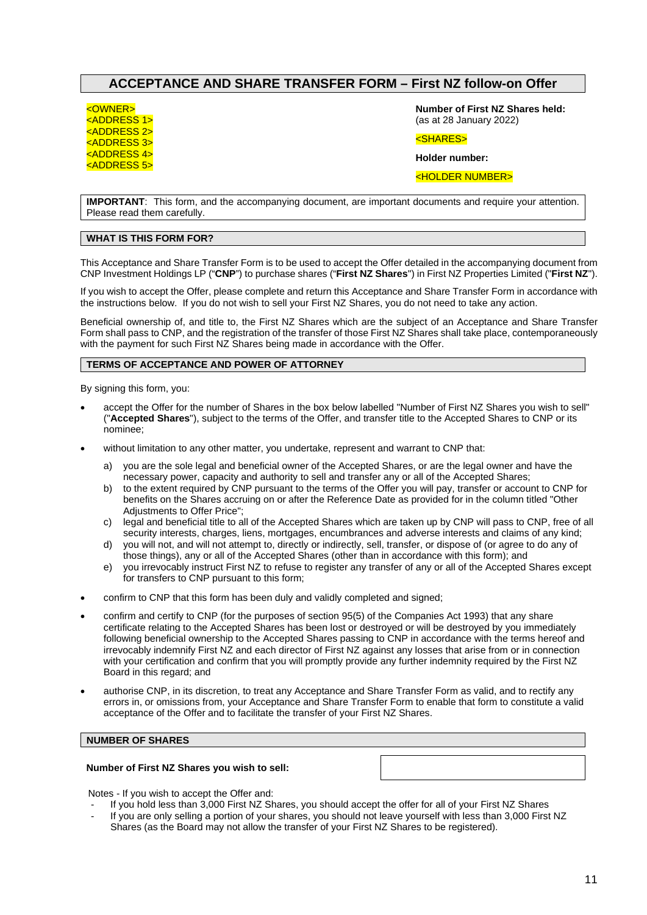## **ACCEPTANCE AND SHARE TRANSFER FORM – First NZ follow-on Offer**

<OWNER>

<ADDRESS 1> <ADDRESS 2> <ADDRESS 3> <ADDRESS 4> <ADDRESS 5> **Number of First NZ Shares held:** (as at 28 January 2022)

<SHARES>

**Holder number:** 

<HOLDER NUMBER>

**IMPORTANT**: This form, and the accompanying document, are important documents and require your attention. Please read them carefully.

#### **WHAT IS THIS FORM FOR?**

This Acceptance and Share Transfer Form is to be used to accept the Offer detailed in the accompanying document from CNP Investment Holdings LP ("**CNP**") to purchase shares ("**First NZ Shares**") in First NZ Properties Limited ("**First NZ**").

If you wish to accept the Offer, please complete and return this Acceptance and Share Transfer Form in accordance with the instructions below. If you do not wish to sell your First NZ Shares, you do not need to take any action.

Beneficial ownership of, and title to, the First NZ Shares which are the subject of an Acceptance and Share Transfer Form shall pass to CNP, and the registration of the transfer of those First NZ Shares shall take place, contemporaneously with the payment for such First NZ Shares being made in accordance with the Offer.

#### **TERMS OF ACCEPTANCE AND POWER OF ATTORNEY**

By signing this form, you:

- accept the Offer for the number of Shares in the box below labelled "Number of First NZ Shares you wish to sell" ("**Accepted Shares**"), subject to the terms of the Offer, and transfer title to the Accepted Shares to CNP or its nominee;
- without limitation to any other matter, you undertake, represent and warrant to CNP that:
	- a) you are the sole legal and beneficial owner of the Accepted Shares, or are the legal owner and have the necessary power, capacity and authority to sell and transfer any or all of the Accepted Shares;
	- b) to the extent required by CNP pursuant to the terms of the Offer you will pay, transfer or account to CNP for benefits on the Shares accruing on or after the Reference Date as provided for in the column titled "Other Adjustments to Offer Price";
	- c) legal and beneficial title to all of the Accepted Shares which are taken up by CNP will pass to CNP, free of all security interests, charges, liens, mortgages, encumbrances and adverse interests and claims of any kind;
	- d) you will not, and will not attempt to, directly or indirectly, sell, transfer, or dispose of (or agree to do any of those things), any or all of the Accepted Shares (other than in accordance with this form); and
	- e) you irrevocably instruct First NZ to refuse to register any transfer of any or all of the Accepted Shares except for transfers to CNP pursuant to this form;
- confirm to CNP that this form has been duly and validly completed and signed;
- confirm and certify to CNP (for the purposes of section 95(5) of the Companies Act 1993) that any share certificate relating to the Accepted Shares has been lost or destroyed or will be destroyed by you immediately following beneficial ownership to the Accepted Shares passing to CNP in accordance with the terms hereof and irrevocably indemnify First NZ and each director of First NZ against any losses that arise from or in connection with your certification and confirm that you will promptly provide any further indemnity required by the First NZ Board in this regard; and
- authorise CNP, in its discretion, to treat any Acceptance and Share Transfer Form as valid, and to rectify any errors in, or omissions from, your Acceptance and Share Transfer Form to enable that form to constitute a valid acceptance of the Offer and to facilitate the transfer of your First NZ Shares.

#### **NUMBER OF SHARES**

#### **Number of First NZ Shares you wish to sell:**

Notes - If you wish to accept the Offer and:

- If you hold less than 3,000 First NZ Shares, you should accept the offer for all of your First NZ Shares
- If you are only selling a portion of your shares, you should not leave yourself with less than 3,000 First NZ Shares (as the Board may not allow the transfer of your First NZ Shares to be registered).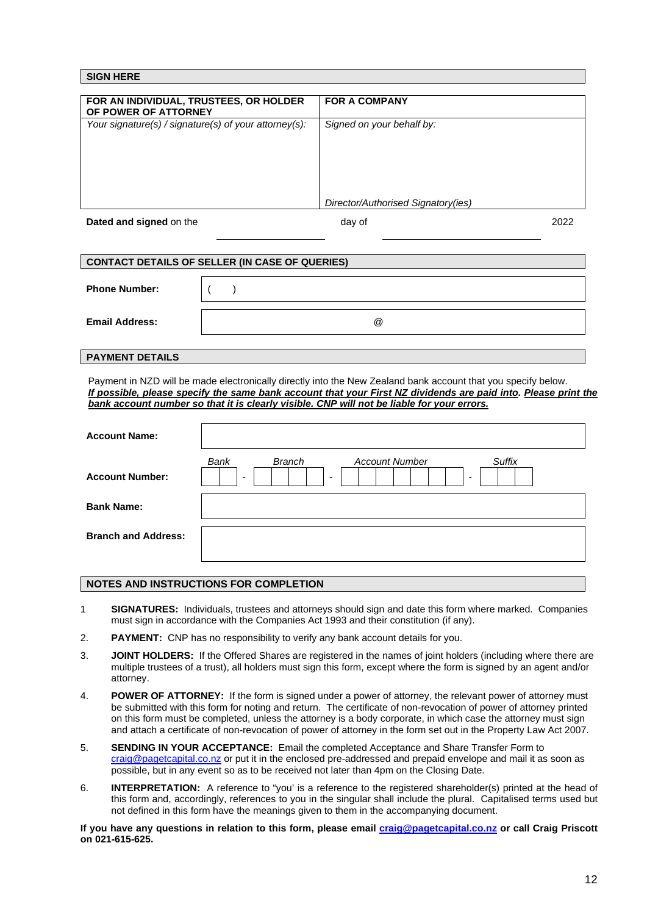| <b>SIGN HERE</b>                                               |                                    |      |
|----------------------------------------------------------------|------------------------------------|------|
|                                                                |                                    |      |
| FOR AN INDIVIDUAL, TRUSTEES, OR HOLDER<br>OF POWER OF ATTORNEY | <b>FOR A COMPANY</b>               |      |
| Your signature(s) / signature(s) of your attorney(s):          | Signed on your behalf by:          |      |
|                                                                |                                    |      |
|                                                                |                                    |      |
|                                                                |                                    |      |
|                                                                | Director/Authorised Signatory(ies) |      |
| Dated and signed on the                                        | day of                             | 2022 |

| <b>CONTACT DETAILS OF SELLER (IN CASE OF QUERIES)</b> |                      |  |  |
|-------------------------------------------------------|----------------------|--|--|
|                                                       |                      |  |  |
| <b>Phone Number:</b>                                  |                      |  |  |
|                                                       |                      |  |  |
| <b>Email Address:</b>                                 | $^{\textregistered}$ |  |  |
|                                                       |                      |  |  |

#### **PAYMENT DETAILS**

Payment in NZD will be made electronically directly into the New Zealand bank account that you specify below. *If possible, please specify the same bank account that your First NZ dividends are paid into. Please print the bank account number so that it is clearly visible. CNP will not be liable for your errors.* 

| <b>Account Name:</b>       |                                                                                                                                              |
|----------------------------|----------------------------------------------------------------------------------------------------------------------------------------------|
| <b>Account Number:</b>     | Bank<br><b>Branch</b><br>Suffix<br><b>Account Number</b><br>$\overline{\phantom{a}}$<br>$\overline{\phantom{a}}$<br>$\overline{\phantom{a}}$ |
| <b>Bank Name:</b>          |                                                                                                                                              |
| <b>Branch and Address:</b> |                                                                                                                                              |

#### **NOTES AND INSTRUCTIONS FOR COMPLETION**

- 1 **SIGNATURES:** Individuals, trustees and attorneys should sign and date this form where marked. Companies must sign in accordance with the Companies Act 1993 and their constitution (if any).
- 2. **PAYMENT:** CNP has no responsibility to verify any bank account details for you.
- 3. **JOINT HOLDERS:** If the Offered Shares are registered in the names of joint holders (including where there are multiple trustees of a trust), all holders must sign this form, except where the form is signed by an agent and/or attorney.
- 4. **POWER OF ATTORNEY:** If the form is signed under a power of attorney, the relevant power of attorney must be submitted with this form for noting and return. The certificate of non-revocation of power of attorney printed on this form must be completed, unless the attorney is a body corporate, in which case the attorney must sign and attach a certificate of non-revocation of power of attorney in the form set out in the Property Law Act 2007.
- 5. **SENDING IN YOUR ACCEPTANCE:** Email the completed Acceptance and Share Transfer Form to craig@pagetcapital.co.nz or put it in the enclosed pre-addressed and prepaid envelope and mail it as soon as possible, but in any event so as to be received not later than 4pm on the Closing Date.
- 6. **INTERPRETATION:** A reference to "you' is a reference to the registered shareholder(s) printed at the head of this form and, accordingly, references to you in the singular shall include the plural. Capitalised terms used but not defined in this form have the meanings given to them in the accompanying document.

If you have any questions in relation to this form, please email **craig@pagetcapital.co.nz** or call Craig Priscott **on 021-615-625.**